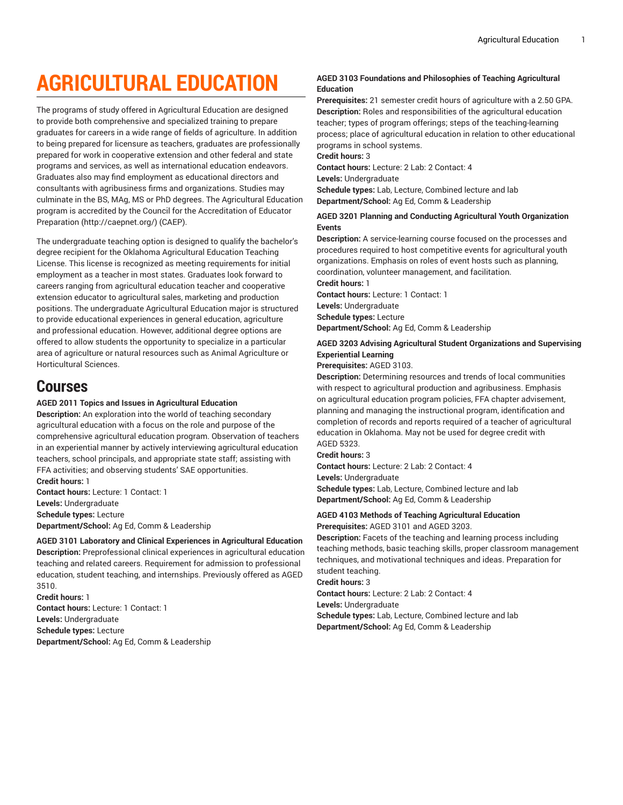# **AGRICULTURAL EDUCATION**

The programs of study offered in Agricultural Education are designed to provide both comprehensive and specialized training to prepare graduates for careers in a wide range of fields of agriculture. In addition to being prepared for licensure as teachers, graduates are professionally prepared for work in cooperative extension and other federal and state programs and services, as well as international education endeavors. Graduates also may find employment as educational directors and consultants with agribusiness firms and organizations. Studies may culminate in the BS, MAg, MS or PhD degrees. The Agricultural Education program is accredited by the Council for the [Accreditation](http://caepnet.org/) of Educator [Preparation](http://caepnet.org/) ([http://caepnet.org/\)](http://caepnet.org/) (CAEP).

The undergraduate teaching option is designed to qualify the bachelor's degree recipient for the Oklahoma Agricultural Education Teaching License. This license is recognized as meeting requirements for initial employment as a teacher in most states. Graduates look forward to careers ranging from agricultural education teacher and cooperative extension educator to agricultural sales, marketing and production positions. The undergraduate Agricultural Education major is structured to provide educational experiences in general education, agriculture and professional education. However, additional degree options are offered to allow students the opportunity to specialize in a particular area of agriculture or natural resources such as Animal Agriculture or Horticultural Sciences.

# **Courses**

### **AGED 2011 Topics and Issues in Agricultural Education**

**Description:** An exploration into the world of teaching secondary agricultural education with a focus on the role and purpose of the comprehensive agricultural education program. Observation of teachers in an experiential manner by actively interviewing agricultural education teachers, school principals, and appropriate state staff; assisting with FFA activities; and observing students' SAE opportunities. **Credit hours:** 1

**Contact hours:** Lecture: 1 Contact: 1 **Levels:** Undergraduate **Schedule types:** Lecture **Department/School:** Ag Ed, Comm & Leadership

**AGED 3101 Laboratory and Clinical Experiences in Agricultural Education Description:** Preprofessional clinical experiences in agricultural education teaching and related careers. Requirement for admission to professional education, student teaching, and internships. Previously offered as AGED 3510.

**Credit hours:** 1 **Contact hours:** Lecture: 1 Contact: 1 **Levels:** Undergraduate **Schedule types:** Lecture **Department/School:** Ag Ed, Comm & Leadership

### **AGED 3103 Foundations and Philosophies of Teaching Agricultural Education**

**Prerequisites:** 21 semester credit hours of agriculture with a 2.50 GPA. **Description:** Roles and responsibilities of the agricultural education teacher; types of program offerings; steps of the teaching-learning process; place of agricultural education in relation to other educational programs in school systems.

### **Credit hours:** 3

**Contact hours:** Lecture: 2 Lab: 2 Contact: 4

**Levels:** Undergraduate **Schedule types:** Lab, Lecture, Combined lecture and lab

**Department/School:** Ag Ed, Comm & Leadership

### **AGED 3201 Planning and Conducting Agricultural Youth Organization Events**

**Description:** A service-learning course focused on the processes and procedures required to host competitive events for agricultural youth organizations. Emphasis on roles of event hosts such as planning, coordination, volunteer management, and facilitation.

**Credit hours:** 1 **Contact hours:** Lecture: 1 Contact: 1 **Levels:** Undergraduate **Schedule types:** Lecture **Department/School:** Ag Ed, Comm & Leadership

### **AGED 3203 Advising Agricultural Student Organizations and Supervising Experiential Learning**

### **Prerequisites:** AGED 3103.

**Description:** Determining resources and trends of local communities with respect to agricultural production and agribusiness. Emphasis on agricultural education program policies, FFA chapter advisement, planning and managing the instructional program, identification and completion of records and reports required of a teacher of agricultural education in Oklahoma. May not be used for degree credit with AGED 5323.

**Credit hours:** 3

**Contact hours:** Lecture: 2 Lab: 2 Contact: 4

**Levels:** Undergraduate

**Schedule types:** Lab, Lecture, Combined lecture and lab **Department/School:** Ag Ed, Comm & Leadership

### **AGED 4103 Methods of Teaching Agricultural Education Prerequisites:** AGED 3101 and AGED 3203.

**Description:** Facets of the teaching and learning process including teaching methods, basic teaching skills, proper classroom management techniques, and motivational techniques and ideas. Preparation for student teaching.

**Credit hours:** 3

**Contact hours:** Lecture: 2 Lab: 2 Contact: 4

**Levels:** Undergraduate

**Schedule types:** Lab, Lecture, Combined lecture and lab **Department/School:** Ag Ed, Comm & Leadership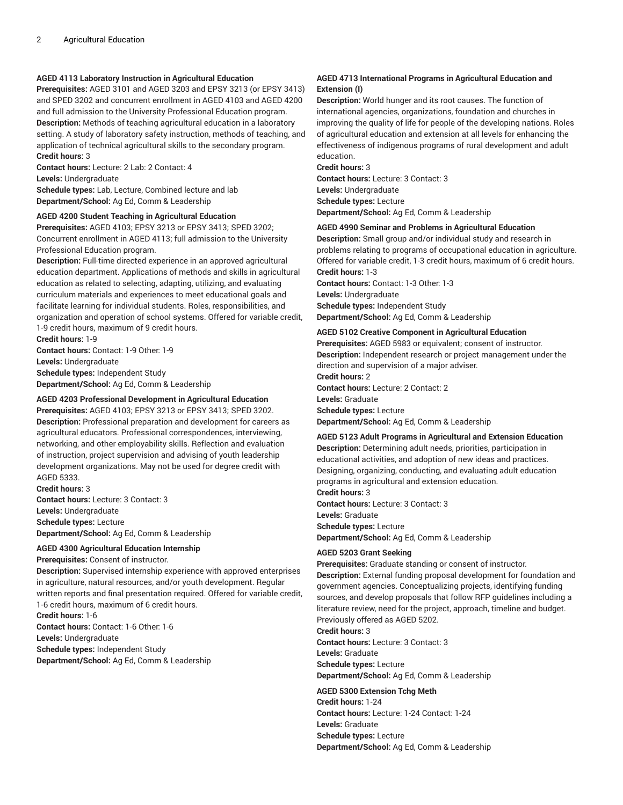### **AGED 4113 Laboratory Instruction in Agricultural Education**

**Prerequisites:** AGED 3101 and AGED 3203 and EPSY 3213 (or EPSY 3413) and SPED 3202 and concurrent enrollment in AGED 4103 and AGED 4200 and full admission to the University Professional Education program. **Description:** Methods of teaching agricultural education in a laboratory setting. A study of laboratory safety instruction, methods of teaching, and application of technical agricultural skills to the secondary program. **Credit hours:** 3

**Contact hours:** Lecture: 2 Lab: 2 Contact: 4 **Levels:** Undergraduate

**Schedule types:** Lab, Lecture, Combined lecture and lab **Department/School:** Ag Ed, Comm & Leadership

### **AGED 4200 Student Teaching in Agricultural Education**

**Prerequisites:** AGED 4103; EPSY 3213 or EPSY 3413; SPED 3202; Concurrent enrollment in AGED 4113; full admission to the University Professional Education program.

**Description:** Full-time directed experience in an approved agricultural education department. Applications of methods and skills in agricultural education as related to selecting, adapting, utilizing, and evaluating curriculum materials and experiences to meet educational goals and facilitate learning for individual students. Roles, responsibilities, and organization and operation of school systems. Offered for variable credit, 1-9 credit hours, maximum of 9 credit hours.

**Credit hours:** 1-9 **Contact hours:** Contact: 1-9 Other: 1-9 **Levels:** Undergraduate **Schedule types:** Independent Study **Department/School:** Ag Ed, Comm & Leadership

### **AGED 4203 Professional Development in Agricultural Education**

**Prerequisites:** AGED 4103; EPSY 3213 or EPSY 3413; SPED 3202. **Description:** Professional preparation and development for careers as agricultural educators. Professional correspondences, interviewing, networking, and other employability skills. Reflection and evaluation of instruction, project supervision and advising of youth leadership development organizations. May not be used for degree credit with AGED 5333.

**Credit hours:** 3 **Contact hours:** Lecture: 3 Contact: 3 **Levels:** Undergraduate **Schedule types:** Lecture **Department/School:** Ag Ed, Comm & Leadership

### **AGED 4300 Agricultural Education Internship**

**Prerequisites:** Consent of instructor.

**Description:** Supervised internship experience with approved enterprises in agriculture, natural resources, and/or youth development. Regular written reports and final presentation required. Offered for variable credit, 1-6 credit hours, maximum of 6 credit hours. **Credit hours:** 1-6

**Contact hours:** Contact: 1-6 Other: 1-6 **Levels:** Undergraduate

**Schedule types:** Independent Study **Department/School:** Ag Ed, Comm & Leadership

### **AGED 4713 International Programs in Agricultural Education and Extension (I)**

**Description:** World hunger and its root causes. The function of international agencies, organizations, foundation and churches in improving the quality of life for people of the developing nations. Roles of agricultural education and extension at all levels for enhancing the effectiveness of indigenous programs of rural development and adult education.

**Credit hours:** 3 **Contact hours:** Lecture: 3 Contact: 3 **Levels:** Undergraduate **Schedule types:** Lecture **Department/School:** Ag Ed, Comm & Leadership

### **AGED 4990 Seminar and Problems in Agricultural Education**

**Description:** Small group and/or individual study and research in problems relating to programs of occupational education in agriculture. Offered for variable credit, 1-3 credit hours, maximum of 6 credit hours. **Credit hours:** 1-3

**Contact hours:** Contact: 1-3 Other: 1-3 **Levels:** Undergraduate **Schedule types:** Independent Study **Department/School:** Ag Ed, Comm & Leadership

#### **AGED 5102 Creative Component in Agricultural Education**

**Prerequisites:** AGED 5983 or equivalent; consent of instructor. **Description:** Independent research or project management under the direction and supervision of a major adviser. **Credit hours:** 2 **Contact hours:** Lecture: 2 Contact: 2 **Levels:** Graduate **Schedule types:** Lecture **Department/School:** Ag Ed, Comm & Leadership

### **AGED 5123 Adult Programs in Agricultural and Extension Education Description:** Determining adult needs, priorities, participation in

educational activities, and adoption of new ideas and practices. Designing, organizing, conducting, and evaluating adult education programs in agricultural and extension education. **Credit hours:** 3

**Contact hours:** Lecture: 3 Contact: 3 **Levels:** Graduate **Schedule types:** Lecture **Department/School:** Ag Ed, Comm & Leadership

#### **AGED 5203 Grant Seeking**

**Prerequisites:** Graduate standing or consent of instructor. **Description:** External funding proposal development for foundation and government agencies. Conceptualizing projects, identifying funding sources, and develop proposals that follow RFP guidelines including a literature review, need for the project, approach, timeline and budget. Previously offered as AGED 5202.

**Credit hours:** 3 **Contact hours:** Lecture: 3 Contact: 3 **Levels:** Graduate **Schedule types:** Lecture **Department/School:** Ag Ed, Comm & Leadership

#### **AGED 5300 Extension Tchg Meth**

**Credit hours:** 1-24 **Contact hours:** Lecture: 1-24 Contact: 1-24 **Levels:** Graduate **Schedule types:** Lecture **Department/School:** Ag Ed, Comm & Leadership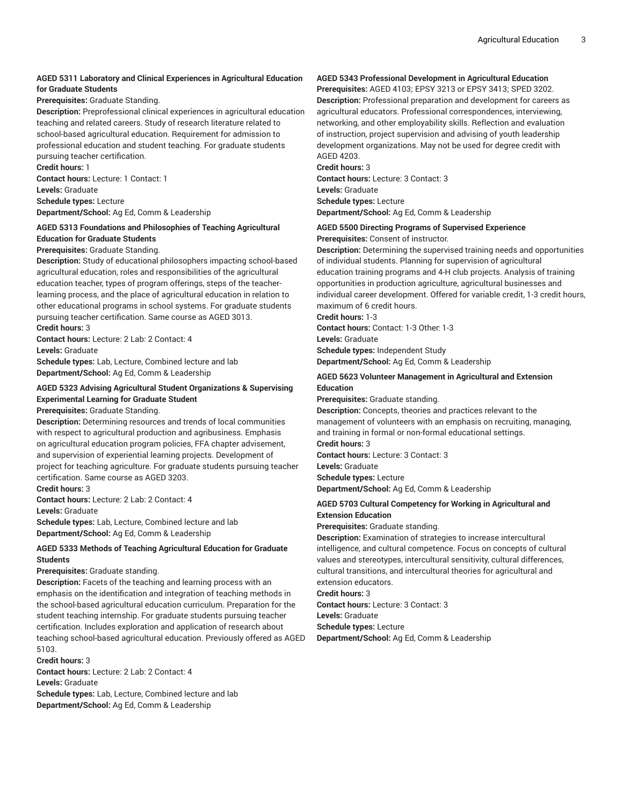### **AGED 5311 Laboratory and Clinical Experiences in Agricultural Education for Graduate Students**

**Prerequisites:** Graduate Standing.

**Description:** Preprofessional clinical experiences in agricultural education teaching and related careers. Study of research literature related to school-based agricultural education. Requirement for admission to professional education and student teaching. For graduate students pursuing teacher certification.

**Credit hours:** 1

**Contact hours:** Lecture: 1 Contact: 1 **Levels:** Graduate **Schedule types:** Lecture

**Department/School:** Ag Ed, Comm & Leadership

### **AGED 5313 Foundations and Philosophies of Teaching Agricultural Education for Graduate Students**

### **Prerequisites:** Graduate Standing.

**Description:** Study of educational philosophers impacting school-based agricultural education, roles and responsibilities of the agricultural education teacher, types of program offerings, steps of the teacherlearning process, and the place of agricultural education in relation to other educational programs in school systems. For graduate students pursuing teacher certification. Same course as AGED 3013. **Credit hours:** 3

**Contact hours:** Lecture: 2 Lab: 2 Contact: 4

**Levels:** Graduate

**Schedule types:** Lab, Lecture, Combined lecture and lab **Department/School:** Ag Ed, Comm & Leadership

### **AGED 5323 Advising Agricultural Student Organizations & Supervising Experimental Learning for Graduate Student**

**Prerequisites:** Graduate Standing.

**Description:** Determining resources and trends of local communities with respect to agricultural production and agribusiness. Emphasis on agricultural education program policies, FFA chapter advisement, and supervision of experiential learning projects. Development of project for teaching agriculture. For graduate students pursuing teacher certification. Same course as AGED 3203.

**Credit hours:** 3

**Contact hours:** Lecture: 2 Lab: 2 Contact: 4 **Levels:** Graduate **Schedule types:** Lab, Lecture, Combined lecture and lab

**Department/School:** Ag Ed, Comm & Leadership

### **AGED 5333 Methods of Teaching Agricultural Education for Graduate Students**

### **Prerequisites:** Graduate standing.

**Description:** Facets of the teaching and learning process with an emphasis on the identification and integration of teaching methods in the school-based agricultural education curriculum. Preparation for the student teaching internship. For graduate students pursuing teacher certification. Includes exploration and application of research about teaching school-based agricultural education. Previously offered as AGED 5103.

### **Credit hours:** 3

**Contact hours:** Lecture: 2 Lab: 2 Contact: 4 **Levels:** Graduate **Schedule types:** Lab, Lecture, Combined lecture and lab

**Department/School:** Ag Ed, Comm & Leadership

### **AGED 5343 Professional Development in Agricultural Education**

**Prerequisites:** AGED 4103; EPSY 3213 or EPSY 3413; SPED 3202. **Description:** Professional preparation and development for careers as agricultural educators. Professional correspondences, interviewing, networking, and other employability skills. Reflection and evaluation of instruction, project supervision and advising of youth leadership development organizations. May not be used for degree credit with AGED 4203.

**Credit hours:** 3 **Contact hours:** Lecture: 3 Contact: 3 **Levels:** Graduate **Schedule types:** Lecture **Department/School:** Ag Ed, Comm & Leadership

### **AGED 5500 Directing Programs of Supervised Experience**

**Prerequisites:** Consent of instructor.

**Description:** Determining the supervised training needs and opportunities of individual students. Planning for supervision of agricultural education training programs and 4-H club projects. Analysis of training opportunities in production agriculture, agricultural businesses and individual career development. Offered for variable credit, 1-3 credit hours, maximum of 6 credit hours.

**Credit hours:** 1-3

**Contact hours:** Contact: 1-3 Other: 1-3 **Levels:** Graduate **Schedule types:** Independent Study **Department/School:** Ag Ed, Comm & Leadership

### **AGED 5623 Volunteer Management in Agricultural and Extension Education**

**Prerequisites:** Graduate standing.

**Description:** Concepts, theories and practices relevant to the management of volunteers with an emphasis on recruiting, managing, and training in formal or non-formal educational settings. **Credit hours:** 3

**Contact hours:** Lecture: 3 Contact: 3

**Levels:** Graduate

**Schedule types:** Lecture

**Department/School:** Ag Ed, Comm & Leadership

### **AGED 5703 Cultural Competency for Working in Agricultural and Extension Education**

**Prerequisites:** Graduate standing.

**Description:** Examination of strategies to increase intercultural intelligence, and cultural competence. Focus on concepts of cultural values and stereotypes, intercultural sensitivity, cultural differences, cultural transitions, and intercultural theories for agricultural and extension educators.

**Credit hours:** 3

**Contact hours:** Lecture: 3 Contact: 3 **Levels:** Graduate **Schedule types:** Lecture **Department/School:** Ag Ed, Comm & Leadership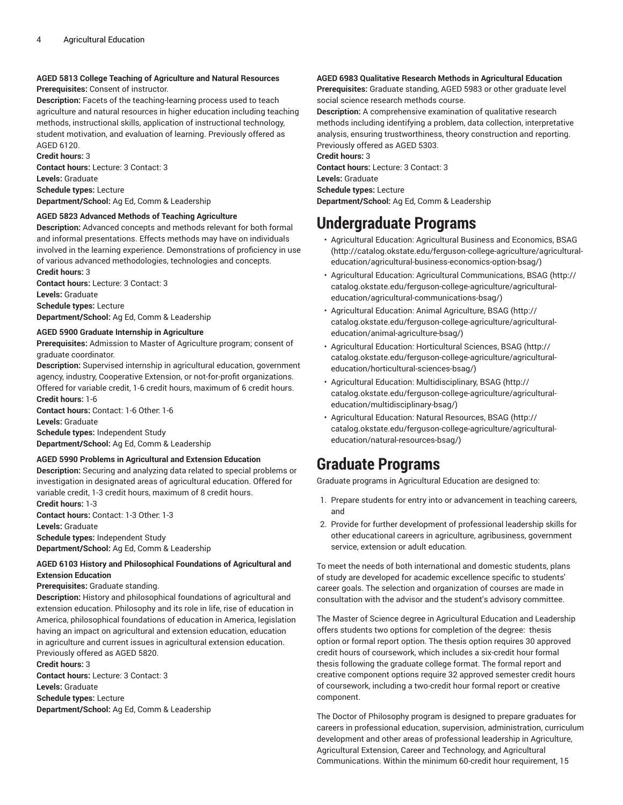### **AGED 5813 College Teaching of Agriculture and Natural Resources**

**Prerequisites:** Consent of instructor.

**Description:** Facets of the teaching-learning process used to teach agriculture and natural resources in higher education including teaching methods, instructional skills, application of instructional technology, student motivation, and evaluation of learning. Previously offered as AGED 6120.

**Credit hours:** 3 **Contact hours:** Lecture: 3 Contact: 3 **Levels:** Graduate **Schedule types:** Lecture **Department/School:** Ag Ed, Comm & Leadership

### **AGED 5823 Advanced Methods of Teaching Agriculture**

**Description:** Advanced concepts and methods relevant for both formal and informal presentations. Effects methods may have on individuals involved in the learning experience. Demonstrations of proficiency in use of various advanced methodologies, technologies and concepts. **Credit hours:** 3

**Contact hours:** Lecture: 3 Contact: 3 **Levels:** Graduate **Schedule types:** Lecture **Department/School:** Ag Ed, Comm & Leadership

### **AGED 5900 Graduate Internship in Agriculture**

**Prerequisites:** Admission to Master of Agriculture program; consent of graduate coordinator.

**Description:** Supervised internship in agricultural education, government agency, industry, Cooperative Extension, or not-for-profit organizations. Offered for variable credit, 1-6 credit hours, maximum of 6 credit hours.

**Credit hours:** 1-6

**Contact hours:** Contact: 1-6 Other: 1-6 **Levels:** Graduate

**Schedule types:** Independent Study **Department/School:** Ag Ed, Comm & Leadership

### **AGED 5990 Problems in Agricultural and Extension Education**

**Description:** Securing and analyzing data related to special problems or investigation in designated areas of agricultural education. Offered for variable credit, 1-3 credit hours, maximum of 8 credit hours. **Credit hours:** 1-3

**Contact hours:** Contact: 1-3 Other: 1-3 **Levels:** Graduate **Schedule types:** Independent Study **Department/School:** Ag Ed, Comm & Leadership

### **AGED 6103 History and Philosophical Foundations of Agricultural and Extension Education**

### **Prerequisites:** Graduate standing.

**Description:** History and philosophical foundations of agricultural and extension education. Philosophy and its role in life, rise of education in America, philosophical foundations of education in America, legislation having an impact on agricultural and extension education, education in agriculture and current issues in agricultural extension education. Previously offered as AGED 5820.

**Credit hours:** 3

**Contact hours:** Lecture: 3 Contact: 3 **Levels:** Graduate **Schedule types:** Lecture **Department/School:** Ag Ed, Comm & Leadership

### **AGED 6983 Qualitative Research Methods in Agricultural Education**

**Prerequisites:** Graduate standing, AGED 5983 or other graduate level social science research methods course.

**Description:** A comprehensive examination of qualitative research methods including identifying a problem, data collection, interpretative analysis, ensuring trustworthiness, theory construction and reporting. Previously offered as AGED 5303.

**Credit hours:** 3

**Contact hours:** Lecture: 3 Contact: 3 **Levels:** Graduate **Schedule types:** Lecture **Department/School:** Ag Ed, Comm & Leadership

# **Undergraduate Programs**

- [Agricultural](http://catalog.okstate.edu/ferguson-college-agriculture/agricultural-education/agricultural-business-economics-option-bsag/) Education: Agricultural Business and Economics, BSAG [\(http://catalog.okstate.edu/ferguson-college-agriculture/agricultural](http://catalog.okstate.edu/ferguson-college-agriculture/agricultural-education/agricultural-business-economics-option-bsag/)[education/agricultural-business-economics-option-bsag/\)](http://catalog.okstate.edu/ferguson-college-agriculture/agricultural-education/agricultural-business-economics-option-bsag/)
- Agricultural Education: Agricultural [Communications,](http://catalog.okstate.edu/ferguson-college-agriculture/agricultural-education/agricultural-communications-bsag/) BSAG [\(http://](http://catalog.okstate.edu/ferguson-college-agriculture/agricultural-education/agricultural-communications-bsag/) [catalog.okstate.edu/ferguson-college-agriculture/agricultural](http://catalog.okstate.edu/ferguson-college-agriculture/agricultural-education/agricultural-communications-bsag/)[education/agricultural-communications-bsag/](http://catalog.okstate.edu/ferguson-college-agriculture/agricultural-education/agricultural-communications-bsag/))
- [Agricultural](http://catalog.okstate.edu/ferguson-college-agriculture/agricultural-education/animal-agriculture-bsag/) Education: Animal Agriculture, BSAG ([http://](http://catalog.okstate.edu/ferguson-college-agriculture/agricultural-education/animal-agriculture-bsag/) [catalog.okstate.edu/ferguson-college-agriculture/agricultural](http://catalog.okstate.edu/ferguson-college-agriculture/agricultural-education/animal-agriculture-bsag/)[education/animal-agriculture-bsag/\)](http://catalog.okstate.edu/ferguson-college-agriculture/agricultural-education/animal-agriculture-bsag/)
- Agricultural Education: [Horticultural](http://catalog.okstate.edu/ferguson-college-agriculture/agricultural-education/horticultural-sciences-bsag/) Sciences, BSAG ([http://](http://catalog.okstate.edu/ferguson-college-agriculture/agricultural-education/horticultural-sciences-bsag/) [catalog.okstate.edu/ferguson-college-agriculture/agricultural](http://catalog.okstate.edu/ferguson-college-agriculture/agricultural-education/horticultural-sciences-bsag/)[education/horticultural-sciences-bsag/\)](http://catalog.okstate.edu/ferguson-college-agriculture/agricultural-education/horticultural-sciences-bsag/)
- Agricultural Education: [Multidisciplinary,](http://catalog.okstate.edu/ferguson-college-agriculture/agricultural-education/multidisciplinary-bsag/) BSAG [\(http://](http://catalog.okstate.edu/ferguson-college-agriculture/agricultural-education/multidisciplinary-bsag/) [catalog.okstate.edu/ferguson-college-agriculture/agricultural](http://catalog.okstate.edu/ferguson-college-agriculture/agricultural-education/multidisciplinary-bsag/)[education/multidisciplinary-bsag/](http://catalog.okstate.edu/ferguson-college-agriculture/agricultural-education/multidisciplinary-bsag/))
- [Agricultural](http://catalog.okstate.edu/ferguson-college-agriculture/agricultural-education/natural-resources-bsag/) Education: Natural Resources, BSAG ([http://](http://catalog.okstate.edu/ferguson-college-agriculture/agricultural-education/natural-resources-bsag/) [catalog.okstate.edu/ferguson-college-agriculture/agricultural](http://catalog.okstate.edu/ferguson-college-agriculture/agricultural-education/natural-resources-bsag/)[education/natural-resources-bsag/\)](http://catalog.okstate.edu/ferguson-college-agriculture/agricultural-education/natural-resources-bsag/)

## **Graduate Programs**

Graduate programs in Agricultural Education are designed to:

- 1. Prepare students for entry into or advancement in teaching careers, and
- 2. Provide for further development of professional leadership skills for other educational careers in agriculture, agribusiness, government service, extension or adult education.

To meet the needs of both international and domestic students, plans of study are developed for academic excellence specific to students' career goals. The selection and organization of courses are made in consultation with the advisor and the student's advisory committee.

The Master of Science degree in Agricultural Education and Leadership offers students two options for completion of the degree: thesis option or formal report option. The thesis option requires 30 approved credit hours of coursework, which includes a six-credit hour formal thesis following the graduate college format. The formal report and creative component options require 32 approved semester credit hours of coursework, including a two-credit hour formal report or creative component.

The Doctor of Philosophy program is designed to prepare graduates for careers in professional education, supervision, administration, curriculum development and other areas of professional leadership in Agriculture, Agricultural Extension, Career and Technology, and Agricultural Communications. Within the minimum 60-credit hour requirement, 15